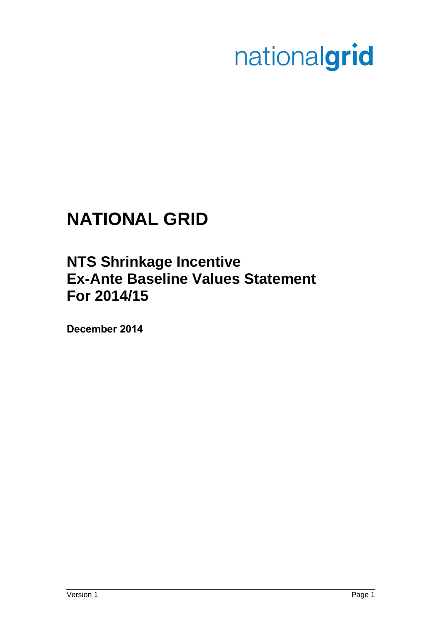# nationalgrid

## **NATIONAL GRID**

### **NTS Shrinkage Incentive Ex-Ante Baseline Values Statement For 2014/15**

**December 2014**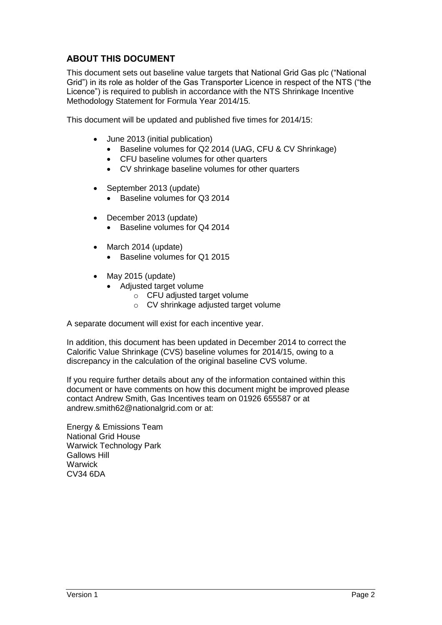#### **ABOUT THIS DOCUMENT**

This document sets out baseline value targets that National Grid Gas plc ("National Grid") in its role as holder of the Gas Transporter Licence in respect of the NTS ("the Licence") is required to publish in accordance with the NTS Shrinkage Incentive Methodology Statement for Formula Year 2014/15.

This document will be updated and published five times for 2014/15:

- June 2013 (initial publication)
	- Baseline volumes for Q2 2014 (UAG, CFU & CV Shrinkage)
	- CFU baseline volumes for other quarters
	- CV shrinkage baseline volumes for other quarters
- September 2013 (update)
	- Baseline volumes for Q3 2014
- December 2013 (update)
	- Baseline volumes for Q4 2014
- March 2014 (update)
	- Baseline volumes for Q1 2015
- $\bullet$  May 2015 (update)
	- Adjusted target volume
		- o CFU adjusted target volume
		- o CV shrinkage adjusted target volume

A separate document will exist for each incentive year.

In addition, this document has been updated in December 2014 to correct the Calorific Value Shrinkage (CVS) baseline volumes for 2014/15, owing to a discrepancy in the calculation of the original baseline CVS volume.

If you require further details about any of the information contained within this document or have comments on how this document might be improved please contact Andrew Smith, Gas Incentives team on 01926 655587 or at andrew.smith62@nationalgrid.com or at:

Energy & Emissions Team National Grid House Warwick Technology Park Gallows Hill **Warwick** CV34 6DA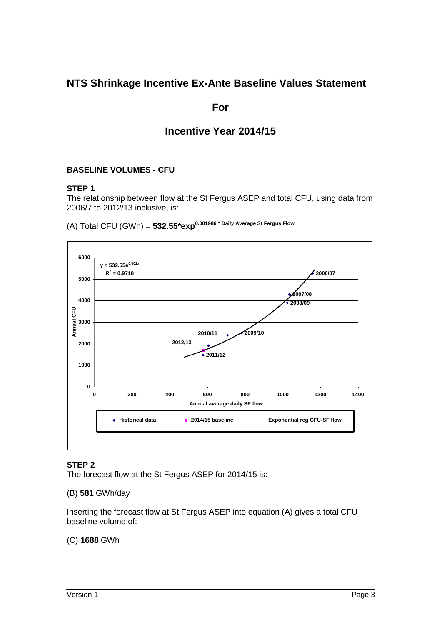#### **NTS Shrinkage Incentive Ex-Ante Baseline Values Statement**

#### **For**

#### **Incentive Year 2014/15**

#### **BASELINE VOLUMES - CFU**

#### **STEP 1**

The relationship between flow at the St Fergus ASEP and total CFU, using data from 2006/7 to 2012/13 inclusive, is:

(A) Total CFU (GWh) = **532.55\*exp0.001986 \* Daily Average St Fergus Flow**



#### **STEP 2**

The forecast flow at the St Fergus ASEP for 2014/15 is:

#### (B) **581** GWh/day

Inserting the forecast flow at St Fergus ASEP into equation (A) gives a total CFU baseline volume of:

#### (C) **1688** GWh